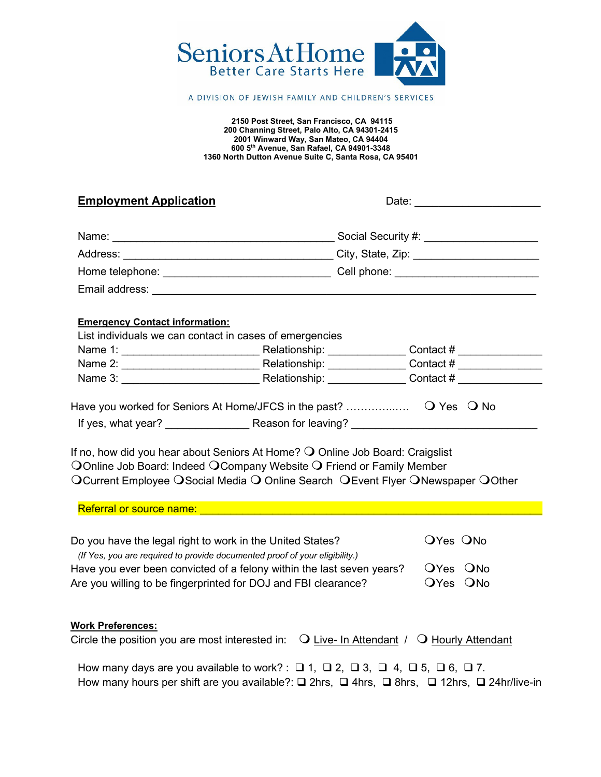

#### A DIVISION OF JEWISH FAMILY AND CHILDREN'S SERVICES

**2150 Post Street, San Francisco, CA 94115 200 Channing Street, Palo Alto, CA 94301-2415 2001 Winward Way, San Mateo, CA 94404 600 5th Avenue, San Rafael, CA 94901-3348 1360 North Dutton Avenue Suite C, Santa Rosa, CA 95401**

## **Employment Application**<br> **Employment Application**

| Name:           | Social Security #: |
|-----------------|--------------------|
| Address:        | City, State, Zip:  |
| Home telephone: | Cell phone:        |
| Email address:  |                    |

# **Emergency Contact information:**

| List individuals we can contact in cases of emergencies |               |           |  |  |  |  |
|---------------------------------------------------------|---------------|-----------|--|--|--|--|
| Name 1:                                                 | Relationship: | Contact # |  |  |  |  |
| Name 2:                                                 | Relationship: | Contact # |  |  |  |  |
| Name 3:                                                 | Relationship: | Contact # |  |  |  |  |
|                                                         |               |           |  |  |  |  |

Have you worked for Seniors At Home/JFCS in the past? …………..…. Yes No If yes, what year? The Reason for leaving?

If no, how did you hear about Seniors At Home?  $\bigcirc$  Online Job Board: Craigslist OOnline Job Board: Indeed OCompany Website O Friend or Family Member OCurrent Employee OSocial Media O Online Search OEvent Flyer ONewspaper OOther

| Do you have the legal right to work in the United States?                   | OYes ONo |
|-----------------------------------------------------------------------------|----------|
| (If Yes, you are required to provide documented proof of your eligibility.) |          |
| Have you ever been convicted of a felony within the last seven years?       | OYes ONo |
| Are you willing to be fingerprinted for DOJ and FBI clearance?              | OYes ONo |

### **Work Preferences:**

| Circle the position you are most interested in: $\bigcirc$ Live- In Attendant / $\bigcirc$ Hourly Attendant |  |  |
|-------------------------------------------------------------------------------------------------------------|--|--|
|-------------------------------------------------------------------------------------------------------------|--|--|

How many days are you available to work? :  $\Box$  1,  $\Box$  2,  $\Box$  3,  $\Box$  4,  $\Box$  5,  $\Box$  6,  $\Box$  7. How many hours per shift are you available?:  $\square$  2hrs,  $\square$  4hrs,  $\square$  40hrs,  $\square$  24hr/live-in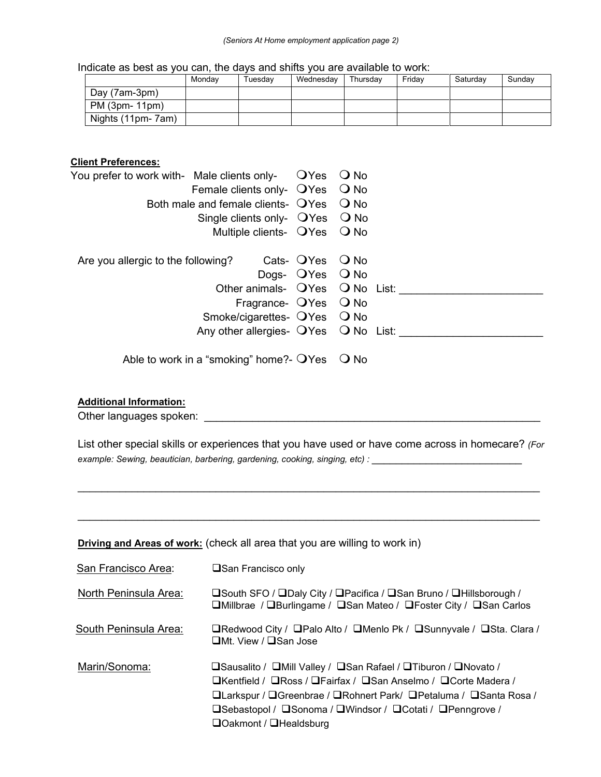#### *(Seniors At Home employment application page 2)*

Indicate as best as you can, the days and shifts you are available to work:

|                   | Mondav | Tuesdav | Wednesdav | Thursdav | Fridav | Saturdav | Sundav |
|-------------------|--------|---------|-----------|----------|--------|----------|--------|
| Day (7am-3pm)     |        |         |           |          |        |          |        |
| PM (3pm- 11pm)    |        |         |           |          |        |          |        |
| Nights (11pm-7am) |        |         |           |          |        |          |        |

## **Client Preferences:**

| You prefer to work with- $\,$ Male clients only- $\,$ $\,$ OYes $\,$ O No $\,$ |                                                |                     |  |  |  |
|--------------------------------------------------------------------------------|------------------------------------------------|---------------------|--|--|--|
|                                                                                | Female clients only- OYes O No                 |                     |  |  |  |
|                                                                                | Both male and female clients- $QYes$ $QNo$     |                     |  |  |  |
|                                                                                | Single clients only- $QYes$ $QNo$              |                     |  |  |  |
|                                                                                | Multiple clients- OYes O No                    |                     |  |  |  |
| Are you allergic to the following?                                             |                                                | Cats- QYes Q No     |  |  |  |
|                                                                                |                                                | Dogs- $OYes$ $ONo$  |  |  |  |
|                                                                                | Other animals- OYes O No List:                 |                     |  |  |  |
|                                                                                |                                                | Fragrance- OYes ONo |  |  |  |
|                                                                                | Smoke/cigarettes- OYes O No                    |                     |  |  |  |
|                                                                                | Any other allergies- OYes ONo List:            |                     |  |  |  |
|                                                                                | Able to work in a "smoking" home?- $OYes$ O No |                     |  |  |  |

### **Additional Information:**

Other languages spoken: \_\_\_\_\_\_\_\_\_\_\_\_\_\_\_\_\_\_\_\_\_\_\_\_\_\_\_\_\_\_\_\_\_\_\_\_\_\_\_\_\_\_\_\_\_\_\_\_\_\_\_\_\_\_\_\_

List other special skills or experiences that you have used or have come across in homecare? *(For example: Sewing, beautician, barbering, gardening, cooking, singing, etc) :* 

 $\mathcal{L}_\text{max}$  , and the set of the set of the set of the set of the set of the set of the set of the set of the set of the set of the set of the set of the set of the set of the set of the set of the set of the set of the

 $\mathcal{L}_\text{max}$  , and the set of the set of the set of the set of the set of the set of the set of the set of the set of the set of the set of the set of the set of the set of the set of the set of the set of the set of the

**Driving and Areas of work:** (check all area that you are willing to work in)

| San Francisco Area:   | <b>□San Francisco only</b>                                                                                                                                                                                                                                                                                 |
|-----------------------|------------------------------------------------------------------------------------------------------------------------------------------------------------------------------------------------------------------------------------------------------------------------------------------------------------|
| North Peninsula Area: | <b>□South SFO / □Daly City / □Pacifica / □San Bruno / □Hillsborough /</b><br>□Millbrae / □Burlingame / □San Mateo / □Foster City / □San Carlos                                                                                                                                                             |
| South Peninsula Area: | □Redwood City / □Palo Alto / □Menlo Pk / □Sunnyvale / □Sta. Clara /<br>$\Box$ Mt. View / $\Box$ San Jose                                                                                                                                                                                                   |
| Marin/Sonoma:         | <b>□Sausalito / □Mill Valley / □San Rafael / □Tiburon / □Novato /</b><br>□Kentfield / □Ross / □Fairfax / □San Anselmo / □Corte Madera /<br>□Larkspur / □Greenbrae / □Rohnert Park/ □Petaluma / □Santa Rosa /<br><b>□Sebastopol / □Sonoma / □Windsor / □Cotati / □Penngrove /</b><br>□Oakmont / □Healdsburg |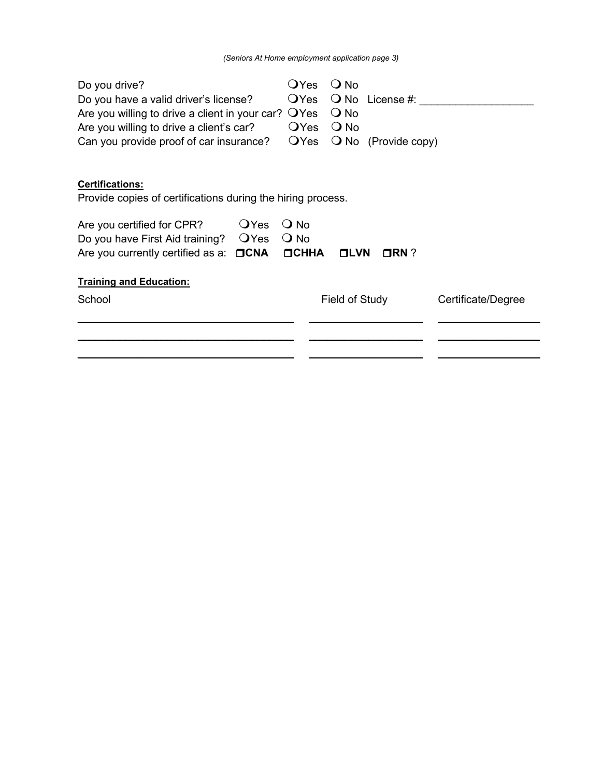| Do you drive?                                               | $\mathsf{O}$ Yes | $Q$ No         |                              |                    |
|-------------------------------------------------------------|------------------|----------------|------------------------------|--------------------|
| Do you have a valid driver's license?                       | OYes             |                | $\bigcirc$ No License #:     |                    |
| Are you willing to drive a client in your car? $\Box$ Yes   |                  | $Q$ No         |                              |                    |
| Are you willing to drive a client's car?                    | OYes             | $\bigcirc$ No  |                              |                    |
| Can you provide proof of car insurance?                     | <b>O</b> Yes     |                | $\bigcirc$ No (Provide copy) |                    |
|                                                             |                  |                |                              |                    |
| <b>Certifications:</b>                                      |                  |                |                              |                    |
| Provide copies of certifications during the hiring process. |                  |                |                              |                    |
| <b>O</b> Yes<br>Are you certified for CPR?                  | $\bigcirc$ No    |                |                              |                    |
| OYes<br>Do you have First Aid training?                     | $\bigcirc$ No    |                |                              |                    |
| $\Box$ CNA<br>Are you currently certified as a:             | $\Box$ CHHA      | <b>OLVN</b>    | $\Box$ RN ?                  |                    |
| <b>Training and Education:</b>                              |                  |                |                              |                    |
| School                                                      |                  | Field of Study |                              | Certificate/Degree |
|                                                             |                  |                |                              |                    |
|                                                             |                  |                |                              |                    |
|                                                             |                  |                |                              |                    |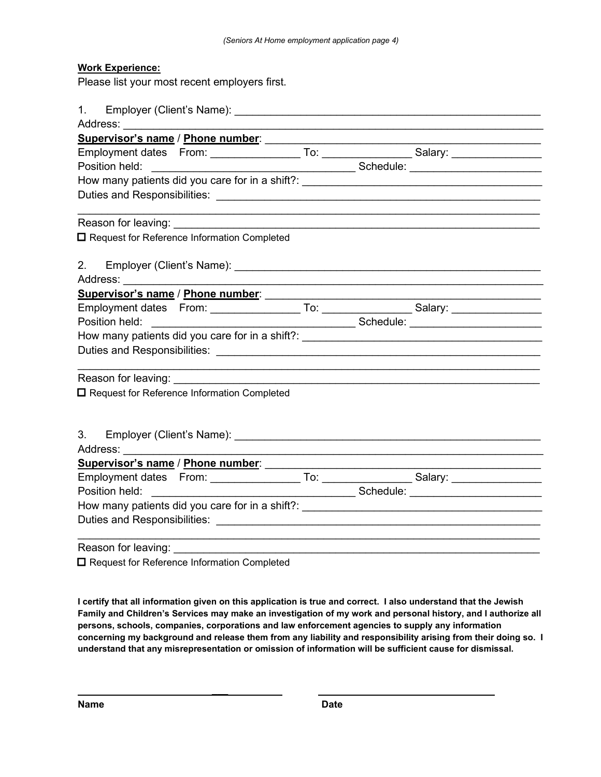#### **Work Experience:**

Please list your most recent employers first.

| □ Request for Reference Information Completed                                                                                                                                                                                                                                              |  |                                                                                                                     |
|--------------------------------------------------------------------------------------------------------------------------------------------------------------------------------------------------------------------------------------------------------------------------------------------|--|---------------------------------------------------------------------------------------------------------------------|
|                                                                                                                                                                                                                                                                                            |  |                                                                                                                     |
| 2.                                                                                                                                                                                                                                                                                         |  |                                                                                                                     |
|                                                                                                                                                                                                                                                                                            |  |                                                                                                                     |
|                                                                                                                                                                                                                                                                                            |  |                                                                                                                     |
|                                                                                                                                                                                                                                                                                            |  |                                                                                                                     |
|                                                                                                                                                                                                                                                                                            |  |                                                                                                                     |
|                                                                                                                                                                                                                                                                                            |  |                                                                                                                     |
|                                                                                                                                                                                                                                                                                            |  | <u> 1989 - 1989 - 1989 - 1989 - 1989 - 1989 - 1989 - 1989 - 1989 - 1989 - 1989 - 1989 - 1989 - 1989 - 1989 - 19</u> |
|                                                                                                                                                                                                                                                                                            |  |                                                                                                                     |
| □ Request for Reference Information Completed                                                                                                                                                                                                                                              |  |                                                                                                                     |
|                                                                                                                                                                                                                                                                                            |  |                                                                                                                     |
|                                                                                                                                                                                                                                                                                            |  |                                                                                                                     |
| 3.                                                                                                                                                                                                                                                                                         |  |                                                                                                                     |
|                                                                                                                                                                                                                                                                                            |  |                                                                                                                     |
|                                                                                                                                                                                                                                                                                            |  |                                                                                                                     |
|                                                                                                                                                                                                                                                                                            |  |                                                                                                                     |
|                                                                                                                                                                                                                                                                                            |  |                                                                                                                     |
| How many patients did you care for in a shift?: _________________________________                                                                                                                                                                                                          |  |                                                                                                                     |
|                                                                                                                                                                                                                                                                                            |  |                                                                                                                     |
|                                                                                                                                                                                                                                                                                            |  |                                                                                                                     |
| Reason for leaving: _____________________<br>$\mathbf{L}$ , $\mathbf{L}$ , $\mathbf{L}$ , $\mathbf{L}$ , $\mathbf{L}$ , $\mathbf{L}$ , $\mathbf{L}$ , $\mathbf{L}$ , $\mathbf{L}$ , $\mathbf{L}$ , $\mathbf{L}$ , $\mathbf{L}$ , $\mathbf{L}$ , $\mathbf{L}$ , $\mathbf{L}$ , $\mathbf{L}$ |  | <u> 1989 - Jan James James Barnett, amerikan bahasa (j. 1989)</u>                                                   |

**□ Request for Reference Information Completed** 

 **\_\_\_** 

**I certify that all information given on this application is true and correct. I also understand that the Jewish Family and Children's Services may make an investigation of my work and personal history, and I authorize all persons, schools, companies, corporations and law enforcement agencies to supply any information concerning my background and release them from any liability and responsibility arising from their doing so. I understand that any misrepresentation or omission of information will be sufficient cause for dismissal.**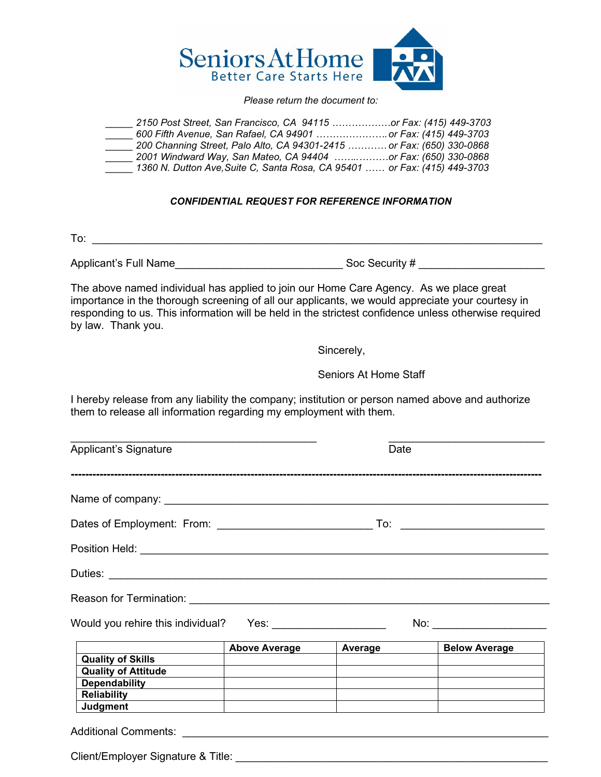

#### *Please return the document to:*

| 2150 Post Street, San Francisco, CA 94115 or Fax: (415) 449-3703          |  |  |
|---------------------------------------------------------------------------|--|--|
| 600 Fifth Avenue, San Rafael, CA 94901  or Fax: (415) 449-3703            |  |  |
| 200 Channing Street, Palo Alto, CA 94301-2415  or Fax: (650) 330-0868     |  |  |
| 2001 Windward Way, San Mateo, CA 94404 or Fax: (650) 330-0868             |  |  |
| 1360 N. Dutton Ave, Suite C, Santa Rosa, CA 95401  or Fax: (415) 449-3703 |  |  |

#### *CONFIDENTIAL REQUEST FOR REFERENCE INFORMATION*

To:  $\frac{1}{2}$   $\frac{1}{2}$   $\frac{1}{2}$   $\frac{1}{2}$   $\frac{1}{2}$   $\frac{1}{2}$   $\frac{1}{2}$   $\frac{1}{2}$   $\frac{1}{2}$   $\frac{1}{2}$   $\frac{1}{2}$   $\frac{1}{2}$   $\frac{1}{2}$   $\frac{1}{2}$   $\frac{1}{2}$   $\frac{1}{2}$   $\frac{1}{2}$   $\frac{1}{2}$   $\frac{1}{2}$   $\frac{1}{2}$   $\frac{1}{2}$   $\frac{1}{2$ 

Applicant's Full Name\_\_\_\_\_\_\_\_\_\_\_\_\_\_\_\_\_\_\_\_\_\_\_\_\_\_\_\_ Soc Security # \_\_\_\_\_\_\_\_\_\_\_\_\_\_\_\_\_\_\_\_\_

The above named individual has applied to join our Home Care Agency. As we place great importance in the thorough screening of all our applicants, we would appreciate your courtesy in responding to us. This information will be held in the strictest confidence unless otherwise required by law. Thank you.

Sincerely,

Seniors At Home Staff

I hereby release from any liability the company; institution or person named above and authorize them to release all information regarding my employment with them.

| <b>Applicant's Signature</b>       |                                                                                                                 | Date    |                               |
|------------------------------------|-----------------------------------------------------------------------------------------------------------------|---------|-------------------------------|
|                                    |                                                                                                                 |         |                               |
|                                    |                                                                                                                 |         |                               |
|                                    |                                                                                                                 |         |                               |
| Duties:                            |                                                                                                                 |         |                               |
|                                    |                                                                                                                 |         |                               |
|                                    |                                                                                                                 |         | No: _________________________ |
|                                    | <b>Above Average</b>                                                                                            | Average | <b>Below Average</b>          |
| <b>Quality of Skills</b>           |                                                                                                                 |         |                               |
| <b>Quality of Attitude</b>         |                                                                                                                 |         |                               |
| Dependability <b>Dependability</b> |                                                                                                                 |         |                               |
| Reliability                        | the contract of the contract of the contract of the contract of the contract of the contract of the contract of |         |                               |
| Judgment                           |                                                                                                                 |         |                               |
|                                    |                                                                                                                 |         |                               |

Client/Employer Signature & Title: \_\_\_\_\_\_\_\_\_\_\_\_\_\_\_\_\_\_\_\_\_\_\_\_\_\_\_\_\_\_\_\_\_\_\_\_\_\_\_\_\_\_\_\_\_\_\_\_\_\_\_\_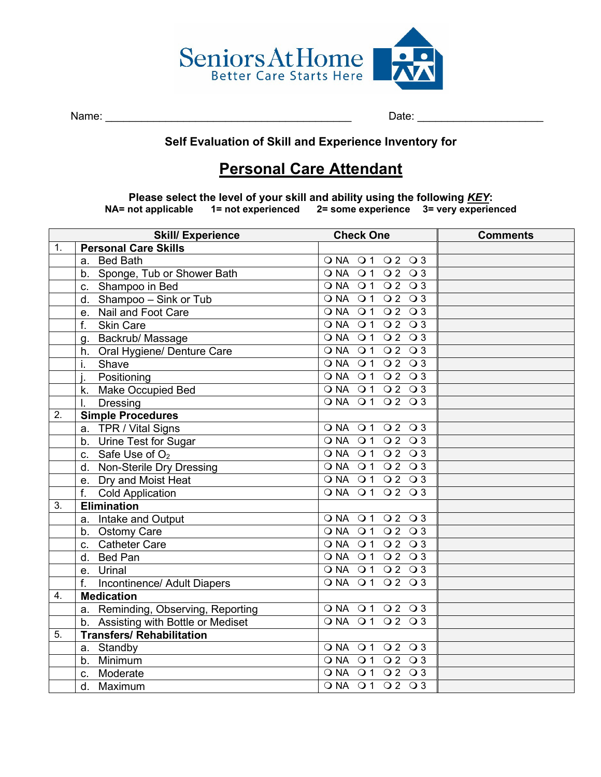

Name: \_\_\_\_\_\_\_\_\_\_\_\_\_\_\_\_\_\_\_\_\_\_\_\_\_\_\_\_\_\_\_\_\_\_\_\_\_\_\_\_\_ Date: \_\_\_\_\_\_\_\_\_\_\_\_\_\_\_\_\_\_\_\_\_

# **Self Evaluation of Skill and Experience Inventory for**

# **Personal Care Attendant**

**Please select the level of your skill and ability using the following <u>KEY</u>:<br>NA= not applicable 1= not experienced 2= some experience 3= very experience NA= not applicable 1= not experienced 2= some experience 3= very experienced**

|    | <b>Skill/ Experience</b>                | <b>Check One</b>                             | <b>Comments</b> |
|----|-----------------------------------------|----------------------------------------------|-----------------|
| 1. | <b>Personal Care Skills</b>             |                                              |                 |
|    | <b>Bed Bath</b><br>a.                   | ONA 01 02 03                                 |                 |
|    | b. Sponge, Tub or Shower Bath           | ONA 01 02 03                                 |                 |
|    | c. Shampoo in Bed                       | ONA 01 02 03                                 |                 |
|    | Shampoo - Sink or Tub<br>d.             | Q2Q3<br>$\overline{O}$ NA $\overline{O}$ 1   |                 |
|    | e. Nail and Foot Care                   | Q2Q3<br>$\overline{O}$ NA $\overline{O}$ 1   |                 |
|    | f.<br><b>Skin Care</b>                  | ONA 01 02 03                                 |                 |
|    | g. Backrub/Massage                      | ONA 01 02 03                                 |                 |
|    | h. Oral Hygiene/ Denture Care           | $\overline{O1}$<br>Q2Q3<br>$\overline{OA}$   |                 |
|    | i.<br>Shave                             | $\overline{O}$ NA $\overline{O}$ 1<br>Q2Q3   |                 |
|    | Positioning                             | $\overline{O}$ NA $\overline{O}$ 1<br>Q2Q3   |                 |
|    | k. Make Occupied Bed                    | ONA 01 02 03                                 |                 |
|    | <b>Dressing</b><br>I.                   | ONA 01 02 03                                 |                 |
| 2. | <b>Simple Procedures</b>                |                                              |                 |
|    | a. TPR / Vital Signs                    | ONA 01 02 03                                 |                 |
|    | b. Urine Test for Sugar                 | ONA 01 02 03                                 |                 |
|    | c. Safe Use of $O2$                     | ONA 01 02 03                                 |                 |
|    | d. Non-Sterile Dry Dressing             | ONA 01 02 03                                 |                 |
|    | e. Dry and Moist Heat                   | ONA 01 02 03                                 |                 |
|    | $f_{\rm{r}}$<br><b>Cold Application</b> | ONA 01 02 03                                 |                 |
| 3. | <b>Elimination</b>                      |                                              |                 |
|    | a. Intake and Output                    | ONA 01 02 03                                 |                 |
|    | b. Ostomy Care                          | ONA 01 02 03                                 |                 |
|    | c. Catheter Care                        | $\overline{O}$ 1<br>Q2Q3<br>O NA             |                 |
|    | d. Bed Pan                              | ONA 01 02 03                                 |                 |
|    | Urinal<br>e.                            | $\overline{O}$ NA $\overline{O}$ 1<br>Q2Q3   |                 |
|    | f.<br>Incontinence/ Adult Diapers       | ONA 01 02 03                                 |                 |
| 4. | <b>Medication</b>                       |                                              |                 |
|    | a. Reminding, Observing, Reporting      | ONA 01 02 03                                 |                 |
|    | b. Assisting with Bottle or Mediset     | ONA 01 02 03                                 |                 |
| 5. | <b>Transfers/ Rehabilitation</b>        |                                              |                 |
|    | a. Standby                              | ONA 01 02 03                                 |                 |
|    | b. Minimum                              | $\overline{Q}$ 2 $\overline{Q}$ 3<br>O NA 01 |                 |
|    | c. Moderate                             | ONA 01 02 03                                 |                 |
|    | d.<br>Maximum                           | ONA 01 02 03                                 |                 |